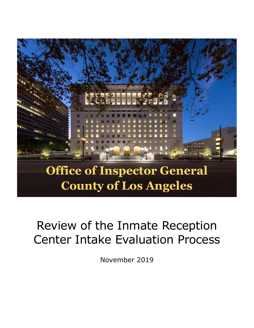

# Review of the Inmate Reception Center Intake Evaluation Process

November 2019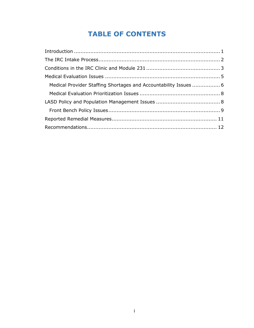# **TABLE OF CONTENTS**

| Medical Provider Staffing Shortages and Accountability Issues  6 |  |
|------------------------------------------------------------------|--|
|                                                                  |  |
|                                                                  |  |
|                                                                  |  |
|                                                                  |  |
|                                                                  |  |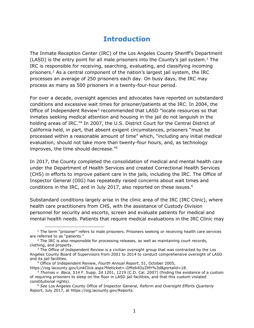# **Introduction**

<span id="page-2-0"></span>The Inmate Reception Center (IRC) of the Los Angeles County Sheriff's Department (LASD) is the entry point for all male prisoners into the County's jail system. <sup>1</sup> The IRC is responsible for receiving, searching, evaluating, and classifying incoming prisoners.<sup>2</sup> As a central component of the nation's largest jail system, the IRC processes an average of 250 prisoners each day. On busy days, the IRC may process as many as 500 prisoners in a twenty-four-hour period.

For over a decade, oversight agencies and advocates have reported on substandard conditions and excessive wait times for prisoner/patients at the IRC. In 2004, the Office of Independent Review<sup>3</sup> recommended that LASD "locate resources so that inmates seeking medical attention and housing in the jail do not languish in the holding areas of IRC."<sup>4</sup> In 2007, the U.S. District Court for the Central District of California held, in part, that absent exigent circumstances, prisoners "must be processed within a reasonable amount of time" which, "including any initial medical evaluation, should not take more than twenty-four hours, and, as technology improves, the time should decrease."<sup>5</sup>

In 2017, the County completed the consolidation of medical and mental health care under the Department of Health Services and created Correctional Health Services (CHS) in efforts to improve patient care in the jails, including the IRC. The Office of Inspector General (OIG) has repeatedly raised concerns about wait times and conditions in the IRC, and in July 2017, also reported on these issues.<sup>6</sup>

Substandard conditions largely arise in the clinic area of the IRC (IRC Clinic), where health care practitioners from CHS, with the assistance of Custody Division personnel for security and escorts, screen and evaluate patients for medical and mental health needs. Patients that require medical evaluations in the IRC Clinic may

j

 $<sup>1</sup>$  The term "prisoner" refers to male prisoners. Prisoners seeking or receiving health care services</sup> are referred to as "patients."

 $<sup>2</sup>$  The IRC is also responsible for processing releases, as well as maintaining court records,</sup> clothing, and property.

 $3$  The Office of Independent Review is a civilian oversight group that was contracted by the Los Angeles County Board of Supervisors from 2001 to 2014 to conduct comprehensive oversight of LASD and its jail facilities.

<sup>4</sup> Office of Independent Review, *Fourth Annual Report*, 51, October 2005,

https://oig.lacounty.gov/LinkClick.aspx?fileticket=-DMz64DyZMY%3d&portalid=18. <sup>5</sup> *Thomas v. Baca*, 514 F. Supp. 2d 1201, 1219 (C.D. Cal. 2007) (finding the existence of a custom of requiring prisoners to sleep on the floor in LASD jail facilities, and that this custom violated constitutional rights).

<sup>6</sup> *See* Los Angeles County Office of Inspector General, *Reform and Oversight Efforts Quarterly Report*, July 2017, at https://oig.lacounty.gov/Reports.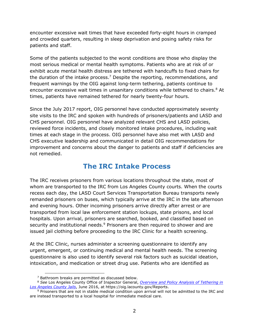encounter excessive wait times that have exceeded forty-eight hours in cramped and crowded quarters, resulting in sleep deprivation and posing safety risks for patients and staff.

Some of the patients subjected to the worst conditions are those who display the most serious medical or mental health symptoms. Patients who are at risk of or exhibit acute mental health distress are tethered with handcuffs to fixed chairs for the duration of the intake process.<sup>7</sup> Despite the reporting, recommendations, and frequent warnings by the OIG against long-term tethering, patients continue to encounter excessive wait times in unsanitary conditions while tethered to chairs. <sup>8</sup> At times, patients have remained tethered for nearly twenty-four hours.

Since the July 2017 report, OIG personnel have conducted approximately seventy site visits to the IRC and spoken with hundreds of prisoners/patients and LASD and CHS personnel. OIG personnel have analyzed relevant CHS and LASD policies, reviewed force incidents, and closely monitored intake procedures, including wait times at each stage in the process. OIG personnel have also met with LASD and CHS executive leadership and communicated in detail OIG recommendations for improvement and concerns about the danger to patients and staff if deficiencies are not remedied.

## **The IRC Intake Process**

<span id="page-3-0"></span>The IRC receives prisoners from various locations throughout the state, most of whom are transported to the IRC from Los Angeles County courts. When the courts recess each day, the LASD Court Services Transportation Bureau transports newly remanded prisoners on buses, which typically arrive at the IRC in the late afternoon and evening hours. Other incoming prisoners arrive directly after arrest or are transported from local law enforcement station lockups, state prisons, and local hospitals. Upon arrival, prisoners are searched, booked, and classified based on security and institutional needs.<sup>9</sup> Prisoners are then required to shower and are issued jail clothing before proceeding to the IRC Clinic for a health screening.

At the IRC Clinic, nurses administer a screening questionnaire to identify any urgent, emergent, or continuing medical and mental health needs. The screening questionnaire is also used to identify several risk factors such as suicidal ideation, intoxication, and medication or street drug use. Patients who are identified as

 $\overline{a}$ 

 $7$  Bathroom breaks are permitted as discussed below.

<sup>8</sup> *See* Los Angeles County Office of Inspector General, *[Overview and Policy Analysis of Tethering in](https://oig.lacounty.gov/Portals/OIG/Reports/Overview%20and%20Policy%20Analysis%20of%20Tethering%20in%20Los%20Angeles%20County%20Jails.pdf?ver=2017-02-21-071752-200)  [Los Angeles County Jails](https://oig.lacounty.gov/Portals/OIG/Reports/Overview%20and%20Policy%20Analysis%20of%20Tethering%20in%20Los%20Angeles%20County%20Jails.pdf?ver=2017-02-21-071752-200)*, June 2016, at https://oig.lacounty.gov/Reports.

<sup>&</sup>lt;sup>9</sup> Prisoners that are not in stable medical condition upon arrival will not be admitted to the IRC and are instead transported to a local hospital for immediate medical care.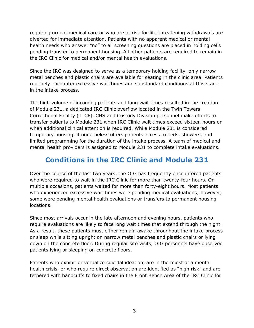requiring urgent medical care or who are at risk for life-threatening withdrawals are diverted for immediate attention. Patients with no apparent medical or mental health needs who answer "no" to all screening questions are placed in holding cells pending transfer to permanent housing. All other patients are required to remain in the IRC Clinic for medical and/or mental health evaluations.

Since the IRC was designed to serve as a temporary holding facility, only narrow metal benches and plastic chairs are available for seating in the clinic area. Patients routinely encounter excessive wait times and substandard conditions at this stage in the intake process.

The high volume of incoming patients and long wait times resulted in the creation of Module 231, a dedicated IRC Clinic overflow located in the Twin Towers Correctional Facility (TTCF). CHS and Custody Division personnel make efforts to transfer patients to Module 231 when IRC Clinic wait times exceed sixteen hours or when additional clinical attention is required. While Module 231 is considered temporary housing, it nonetheless offers patients access to beds, showers, and limited programming for the duration of the intake process. A team of medical and mental health providers is assigned to Module 231 to complete intake evaluations.

# <span id="page-4-0"></span>**Conditions in the IRC Clinic and Module 231**

Over the course of the last two years, the OIG has frequently encountered patients who were required to wait in the IRC Clinic for more than twenty-four hours. On multiple occasions, patients waited for more than forty-eight hours. Most patients who experienced excessive wait times were pending medical evaluations; however, some were pending mental health evaluations or transfers to permanent housing locations.

Since most arrivals occur in the late afternoon and evening hours, patients who require evaluations are likely to face long wait times that extend through the night. As a result, these patients must either remain awake throughout the intake process or sleep while sitting upright on narrow metal benches and plastic chairs or lying down on the concrete floor. During regular site visits, OIG personnel have observed patients lying or sleeping on concrete floors.

Patients who exhibit or verbalize suicidal ideation, are in the midst of a mental health crisis, or who require direct observation are identified as "high risk" and are tethered with handcuffs to fixed chairs in the Front Bench Area of the IRC Clinic for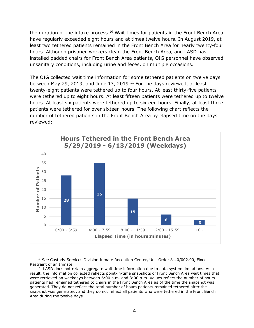the duration of the intake process.<sup>10</sup> Wait times for patients in the Front Bench Area have regularly exceeded eight hours and at times twelve hours. In August 2019, at least two tethered patients remained in the Front Bench Area for nearly twenty-four hours. Although prisoner-workers clean the Front Bench Area, and LASD has installed padded chairs for Front Bench Area patients, OIG personnel have observed unsanitary conditions, including urine and feces, on multiple occasions.

The OIG collected wait time information for some tethered patients on twelve days between May 29, 2019, and June 13, 2019. <sup>11</sup> For the days reviewed, at least twenty-eight patients were tethered up to four hours. At least thirty-five patients were tethered up to eight hours. At least fifteen patients were tethered up to twelve hours. At least six patients were tethered up to sixteen hours. Finally, at least three patients were tethered for over sixteen hours. The following chart reflects the number of tethered patients in the Front Bench Area by elapsed time on the days reviewed:



<sup>-</sup><sup>10</sup> *See* Custody Services Division Inmate Reception Center, Unit Order 8-40/002.00, Fixed Restraint of an Inmate.

 $11$  LASD does not retain aggregate wait time information due to data system limitations. As a result, the information collected reflects point-in-time snapshots of Front Bench Area wait times that were retrieved on weekdays between 6:00 a.m. and 3:00 p.m. Values reflect the number of hours patients had remained tethered to chairs in the Front Bench Area as of the time the snapshot was generated. They do not reflect the total number of hours patients remained tethered after the snapshot was generated, and they do not reflect all patients who were tethered in the Front Bench Area during the twelve days.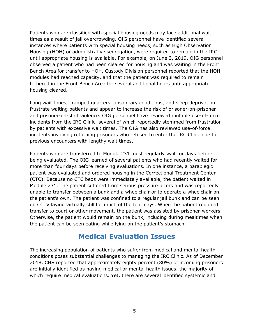Patients who are classified with special housing needs may face additional wait times as a result of jail overcrowding. OIG personnel have identified several instances where patients with special housing needs, such as High Observation Housing (HOH) or administrative segregation, were required to remain in the IRC until appropriate housing is available. For example, on June 3, 2019, OIG personnel observed a patient who had been cleared for housing and was waiting in the Front Bench Area for transfer to HOH. Custody Division personnel reported that the HOH modules had reached capacity, and that the patient was required to remain tethered in the Front Bench Area for several additional hours until appropriate housing cleared.

Long wait times, cramped quarters, unsanitary conditions, and sleep deprivation frustrate waiting patients and appear to increase the risk of prisoner-on-prisoner and prisoner-on-staff violence. OIG personnel have reviewed multiple use-of-force incidents from the IRC Clinic, several of which reportedly stemmed from frustration by patients with excessive wait times. The OIG has also reviewed use-of-force incidents involving returning prisoners who refused to enter the IRC Clinic due to previous encounters with lengthy wait times.

Patients who are transferred to Module 231 must regularly wait for days before being evaluated. The OIG learned of several patients who had recently waited for more than four days before receiving evaluations. In one instance, a paraplegic patient was evaluated and ordered housing in the Correctional Treatment Center (CTC). Because no CTC beds were immediately available, the patient waited in Module 231. The patient suffered from serious pressure ulcers and was reportedly unable to transfer between a bunk and a wheelchair or to operate a wheelchair on the patient's own. The patient was confined to a regular jail bunk and can be seen on CCTV laying virtually still for much of the four days. When the patient required transfer to court or other movement, the patient was assisted by prisoner-workers. Otherwise, the patient would remain on the bunk, including during mealtimes when the patient can be seen eating while lying on the patient's stomach.

## **Medical Evaluation Issues**

<span id="page-6-0"></span>The increasing population of patients who suffer from medical and mental health conditions poses substantial challenges to managing the IRC Clinic. As of December 2018, CHS reported that approximately eighty percent (80%) of incoming prisoners are initially identified as having medical or mental health issues, the majority of which require medical evaluations. Yet, there are several identified systemic and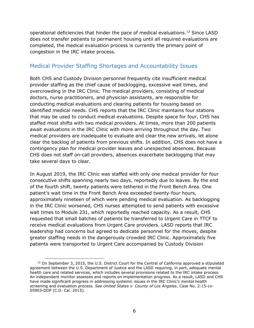operational deficiencies that hinder the pace of medical evaluations.<sup>12</sup> Since LASD does not transfer patients to permanent housing until all required evaluations are completed, the medical evaluation process is currently the primary point of congestion in the IRC intake process.

#### <span id="page-7-0"></span>Medical Provider Staffing Shortages and Accountability Issues

Both CHS and Custody Division personnel frequently cite insufficient medical provider staffing as the chief cause of backlogging, excessive wait times, and overcrowding in the IRC Clinic. The medical providers, consisting of medical doctors, nurse practitioners, and physician assistants, are responsible for conducting medical evaluations and clearing patients for housing based on identified medical needs. CHS reports that the IRC Clinic maintains four stations that may be used to conduct medical evaluations. Despite space for four, CHS has staffed most shifts with two medical providers. At times, more than 200 patients await evaluations in the IRC Clinic with more arriving throughout the day. Two medical providers are inadequate to evaluate and clear the new arrivals, let alone clear the backlog of patients from previous shifts. In addition, CHS does not have a contingency plan for medical provider leaves and unexpected absences. Because CHS does not staff on-call providers, absences exacerbate backlogging that may take several days to clear.

In August 2019, the IRC Clinic was staffed with only one medical provider for four consecutive shifts spanning nearly two days, reportedly due to leaves. By the end of the fourth shift, twenty patients were tethered in the Front Bench Area. One patient's wait time in the Front Bench Area exceeded twenty-four hours, approximately nineteen of which were pending medical evaluation. As backlogging in the IRC Clinic worsened, CHS nurses attempted to send patients with excessive wait times to Module 231, which reportedly reached capacity. As a result, CHS requested that small batches of patients be transferred to Urgent Care in TTCF to receive medical evaluations from Urgent Care providers. LASD reports that IRC leadership had concerns but agreed to dedicate personnel for the moves, despite greater staffing needs in the dangerously crowded IRC Clinic. Approximately five patients were transported to Urgent Care accompanied by Custody Division

 $\overline{a}$  $12$  On September 3, 2015, the U.S. District Court for the Central of California approved a stipulated agreement between the U.S. Department of Justice and the LASD requiring, in part, adequate mental health care and related services, which includes several provisions related to the IRC intake process. An independent monitor assesses and reports on implementation progress. As a result, LASD and CHS have made significant progress in addressing systemic issues in the IRC Clinic's mental health screening and evaluation process. *See United States v. County of Los Angeles*, Case No. 2:15-cv-05903-DDP (C.D. Cal. 2015).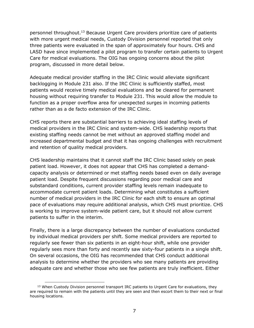personnel throughout.<sup>13</sup> Because Urgent Care providers prioritize care of patients with more urgent medical needs, Custody Division personnel reported that only three patients were evaluated in the span of approximately four hours. CHS and LASD have since implemented a pilot program to transfer certain patients to Urgent Care for medical evaluations. The OIG has ongoing concerns about the pilot program, discussed in more detail below.

Adequate medical provider staffing in the IRC Clinic would alleviate significant backlogging in Module 231 also. If the IRC Clinic is sufficiently staffed, most patients would receive timely medical evaluations and be cleared for permanent housing without requiring transfer to Module 231. This would allow the module to function as a proper overflow area for unexpected surges in incoming patients rather than as a de facto extension of the IRC Clinic.

CHS reports there are substantial barriers to achieving ideal staffing levels of medical providers in the IRC Clinic and system-wide. CHS leadership reports that existing staffing needs cannot be met without an approved staffing model and increased departmental budget and that it has ongoing challenges with recruitment and retention of quality medical providers.

CHS leadership maintains that it cannot staff the IRC Clinic based solely on peak patient load. However, it does not appear that CHS has completed a demandcapacity analysis or determined or met staffing needs based even on daily average patient load. Despite frequent discussions regarding poor medical care and substandard conditions, current provider staffing levels remain inadequate to accommodate current patient loads. Determining what constitutes a sufficient number of medical providers in the IRC Clinic for each shift to ensure an optimal pace of evaluations may require additional analysis, which CHS must prioritize. CHS is working to improve system-wide patient care, but it should not allow current patients to suffer in the interim.

Finally, there is a large discrepancy between the number of evaluations conducted by individual medical providers per shift. Some medical providers are reported to regularly see fewer than six patients in an eight-hour shift, while one provider regularly sees more than forty and recently saw sixty-four patients in a single shift. On several occasions, the OIG has recommended that CHS conduct additional analysis to determine whether the providers who see many patients are providing adequate care and whether those who see few patients are truly inefficient. Either

<sup>-</sup><sup>13</sup> When Custody Division personnel transport IRC patients to Urgent Care for evaluations, they are required to remain with the patients until they are seen and then escort them to their next or final housing locations.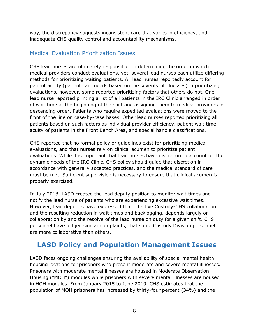way, the discrepancy suggests inconsistent care that varies in efficiency, and inadequate CHS quality control and accountability mechanisms.

#### <span id="page-9-0"></span>Medical Evaluation Prioritization Issues

CHS lead nurses are ultimately responsible for determining the order in which medical providers conduct evaluations, yet, several lead nurses each utilize differing methods for prioritizing waiting patients. All lead nurses reportedly account for patient acuity (patient care needs based on the severity of illnesses) in prioritizing evaluations, however, some reported prioritizing factors that others do not. One lead nurse reported printing a list of all patients in the IRC Clinic arranged in order of wait time at the beginning of the shift and assigning them to medical providers in descending order. Patients who require expedited evaluations were moved to the front of the line on case-by-case bases. Other lead nurses reported prioritizing all patients based on such factors as individual provider efficiency, patient wait time, acuity of patients in the Front Bench Area, and special handle classifications.

CHS reported that no formal policy or guidelines exist for prioritizing medical evaluations, and that nurses rely on clinical acumen to prioritize patient evaluations. While it is important that lead nurses have discretion to account for the dynamic needs of the IRC Clinic, CHS policy should guide that discretion in accordance with generally accepted practices, and the medical standard of care must be met. Sufficient supervision is necessary to ensure that clinical acumen is properly exercised.

In July 2018, LASD created the lead deputy position to monitor wait times and notify the lead nurse of patients who are experiencing excessive wait times. However, lead deputies have expressed that effective Custody-CHS collaboration, and the resulting reduction in wait times and backlogging, depends largely on collaboration by and the resolve of the lead nurse on duty for a given shift. CHS personnel have lodged similar complaints, that some Custody Division personnel are more collaborative than others.

# <span id="page-9-1"></span>**LASD Policy and Population Management Issues**

LASD faces ongoing challenges ensuring the availability of special mental health housing locations for prisoners who present moderate and severe mental illnesses. Prisoners with moderate mental illnesses are housed in Moderate Observation Housing ("MOH") modules while prisoners with severe mental illnesses are housed in HOH modules. From January 2015 to June 2019, CHS estimates that the population of MOH prisoners has increased by thirty-four percent (34%) and the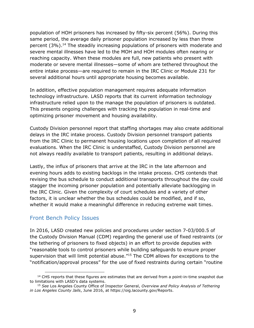population of HOH prisoners has increased by fifty-six percent (56%). During this same period, the average daily prisoner population increased by less than three percent (3%). <sup>14</sup> The steadily increasing populations of prisoners with moderate and severe mental illnesses have led to the MOH and HOH modules often nearing or reaching capacity. When these modules are full, new patients who present with moderate or severe mental illnesses—some of whom are tethered throughout the entire intake process—are required to remain in the IRC Clinic or Module 231 for several additional hours until appropriate housing becomes available.

In addition, effective population management requires adequate information technology infrastructure. LASD reports that its current information technology infrastructure relied upon to the manage the population of prisoners is outdated. This presents ongoing challenges with tracking the population in real-time and optimizing prisoner movement and housing availability.

Custody Division personnel report that staffing shortages may also create additional delays in the IRC intake process. Custody Division personnel transport patients from the IRC Clinic to permanent housing locations upon completion of all required evaluations. When the IRC Clinic is understaffed, Custody Division personnel are not always readily available to transport patients, resulting in additional delays.

Lastly, the influx of prisoners that arrive at the IRC in the late afternoon and evening hours adds to existing backlogs in the intake process. CHS contends that revising the bus schedule to conduct additional transports throughout the day could stagger the incoming prisoner population and potentially alleviate backlogging in the IRC Clinic. Given the complexity of court schedules and a variety of other factors, it is unclear whether the bus schedules could be modified, and if so, whether it would make a meaningful difference in reducing extreme wait times.

#### <span id="page-10-0"></span>Front Bench Policy Issues

In 2016, LASD created new policies and procedures under section 7-03/000.5 of the Custody Division Manual (CDM) regarding the general use of fixed restraints (or the tethering of prisoners to fixed objects) in an effort to provide deputies with "reasonable tools to control prisoners while building safeguards to ensure proper supervision that will limit potential abuse."<sup>15</sup> The CDM allows for exceptions to the "notification/approval process" for the use of fixed restraints during certain "routine

j <sup>14</sup> CHS reports that these figures are estimates that are derived from a point-in-time snapshot due to limitations with LASD's data systems.

<sup>15</sup> *See* Los Angeles County Office of Inspector General, *Overview and Policy Analysis of Tethering in Los Angeles County Jails*, June 2016, at https://oig.lacounty.gov/Reports.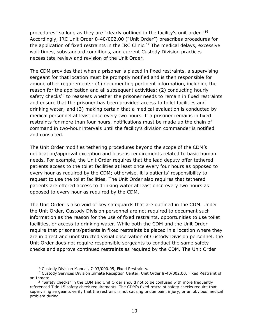procedures" so long as they are "clearly outlined in the facility's unit order."<sup>16</sup> Accordingly, IRC Unit Order 8-40/002.00 ("Unit Order") prescribes procedures for the application of fixed restraints in the IRC Clinic.<sup>17</sup> The medical delays, excessive wait times, substandard conditions, and current Custody Division practices necessitate review and revision of the Unit Order.

The CDM provides that when a prisoner is placed in fixed restraints, a supervising sergeant for that location must be promptly notified and is then responsible for among other requirements: (1) documenting pertinent information, including the reason for the application and all subsequent activities; (2) conducting hourly safety checks<sup>18</sup> to reassess whether the prisoner needs to remain in fixed restraints and ensure that the prisoner has been provided access to toilet facilities and drinking water; and (3) making certain that a medical evaluation is conducted by medical personnel at least once every two hours. If a prisoner remains in fixed restraints for more than four hours, notifications must be made up the chain of command in two-hour intervals until the facility's division commander is notified and consulted.

The Unit Order modifies tethering procedures beyond the scope of the CDM's notification/approval exception and loosens requirements related to basic human needs. For example, the Unit Order requires that the lead deputy offer tethered patients access to the toilet facilities at least once every four hours as opposed to every hour as required by the CDM; otherwise, it is patients' responsibility to request to use the toilet facilities. The Unit Order also requires that tethered patients are offered access to drinking water at least once every two hours as opposed to every hour as required by the CDM.

The Unit Order is also void of key safeguards that are outlined in the CDM. Under the Unit Order, Custody Division personnel are not required to document such information as the reason for the use of fixed restraints, opportunities to use toilet facilities, or access to drinking water. While both the CDM and the Unit Order require that prisoners/patients in fixed restraints be placed in a location where they are in direct and unobstructed visual observation of Custody Division personnel, the Unit Order does not require responsible sergeants to conduct the same safety checks and approve continued restraints as required by the CDM. The Unit Order

 $\overline{a}$ 

<sup>16</sup> Custody Division Manual, 7-03/000.05, Fixed Restraints.

<sup>&</sup>lt;sup>17</sup> Custody Services Division Inmate Reception Center, Unit Order 8-40/002.00, Fixed Restraint of an Inmate.

<sup>&</sup>lt;sup>18</sup> "Safety checks" in the CDM and Unit Order should not to be confused with more frequently referenced Title 15 safety check requirements. The CDM's fixed restraint safety checks require that supervising sergeants verify that the restraint is not causing undue pain, injury, or an obvious medical problem during.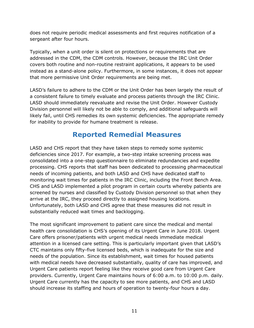does not require periodic medical assessments and first requires notification of a sergeant after four hours.

Typically, when a unit order is silent on protections or requirements that are addressed in the CDM, the CDM controls. However, because the IRC Unit Order covers both routine and non-routine restraint applications, it appears to be used instead as a stand-alone policy. Furthermore, in some instances, it does not appear that more permissive Unit Order requirements are being met.

LASD's failure to adhere to the CDM or the Unit Order has been largely the result of a consistent failure to timely evaluate and process patients through the IRC Clinic. LASD should immediately reevaluate and revise the Unit Order. However Custody Division personnel will likely not be able to comply, and additional safeguards will likely fail, until CHS remedies its own systemic deficiencies. The appropriate remedy for inability to provide for humane treatment is release.

# **Reported Remedial Measures**

<span id="page-12-0"></span>LASD and CHS report that they have taken steps to remedy some systemic deficiencies since 2017. For example, a two-step intake screening process was consolidated into a one-step questionnaire to eliminate redundancies and expedite processing. CHS reports that staff has been dedicated to processing pharmaceutical needs of incoming patients, and both LASD and CHS have dedicated staff to monitoring wait times for patients in the IRC Clinic, including the Front Bench Area. CHS and LASD implemented a pilot program in certain courts whereby patients are screened by nurses and classified by Custody Division personnel so that when they arrive at the IRC, they proceed directly to assigned housing locations. Unfortunately, both LASD and CHS agree that these measures did not result in substantially reduced wait times and backlogging.

The most significant improvement to patient care since the medical and mental health care consolidation is CHS's opening of its Urgent Care in June 2018. Urgent Care offers prisoner/patients with urgent medical needs immediate medical attention in a licensed care setting. This is particularly important given that LASD's CTC maintains only fifty-five licensed beds, which is inadequate for the size and needs of the population. Since its establishment, wait times for housed patients with medical needs have decreased substantially, quality of care has improved, and Urgent Care patients report feeling like they receive good care from Urgent Care providers. Currently, Urgent Care maintains hours of 6:00 a.m. to 10:00 p.m. daily. Urgent Care currently has the capacity to see more patients, and CHS and LASD should increase its staffing and hours of operation to twenty-four hours a day.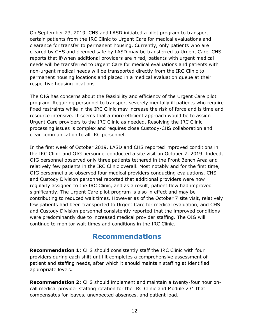On September 23, 2019, CHS and LASD initiated a pilot program to transport certain patients from the IRC Clinic to Urgent Care for medical evaluations and clearance for transfer to permanent housing. Currently, only patients who are cleared by CHS and deemed safe by LASD may be transferred to Urgent Care. CHS reports that if/when additional providers are hired, patients with urgent medical needs will be transferred to Urgent Care for medical evaluations and patients with non-urgent medical needs will be transported directly from the IRC Clinic to permanent housing locations and placed in a medical evaluation queue at their respective housing locations.

The OIG has concerns about the feasibility and efficiency of the Urgent Care pilot program. Requiring personnel to transport severely mentally ill patients who require fixed restraints while in the IRC Clinic may increase the risk of force and is time and resource intensive. It seems that a more efficient approach would be to assign Urgent Care providers to the IRC Clinic as needed. Resolving the IRC Clinic processing issues is complex and requires close Custody-CHS collaboration and clear communication to all IRC personnel.

In the first week of October 2019, LASD and CHS reported improved conditions in the IRC Clinic and OIG personnel conducted a site visit on October 7, 2019. Indeed, OIG personnel observed only three patients tethered in the Front Bench Area and relatively few patients in the IRC Clinic overall. Most notably and for the first time, OIG personnel also observed four medical providers conducting evaluations. CHS and Custody Division personnel reported that additional providers were now regularly assigned to the IRC Clinic, and as a result, patient flow had improved significantly. The Urgent Care pilot program is also in effect and may be contributing to reduced wait times. However as of the October 7 site visit, relatively few patients had been transported to Urgent Care for medical evaluation, and CHS and Custody Division personnel consistently reported that the improved conditions were predominantly due to increased medical provider staffing. The OIG will continue to monitor wait times and conditions in the IRC Clinic.

## **Recommendations**

<span id="page-13-0"></span>**Recommendation 1**: CHS should consistently staff the IRC Clinic with four providers during each shift until it completes a comprehensive assessment of patient and staffing needs, after which it should maintain staffing at identified appropriate levels.

**Recommendation 2**: CHS should implement and maintain a twenty-four hour oncall medical provider staffing rotation for the IRC Clinic and Module 231 that compensates for leaves, unexpected absences, and patient load.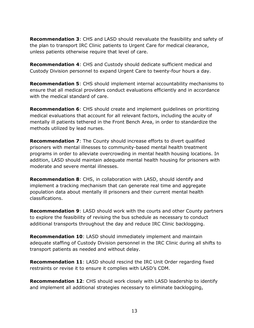**Recommendation 3**: CHS and LASD should reevaluate the feasibility and safety of the plan to transport IRC Clinic patients to Urgent Care for medical clearance, unless patients otherwise require that level of care.

**Recommendation 4**: CHS and Custody should dedicate sufficient medical and Custody Division personnel to expand Urgent Care to twenty-four hours a day.

**Recommendation 5**: CHS should implement internal accountability mechanisms to ensure that all medical providers conduct evaluations efficiently and in accordance with the medical standard of care.

**Recommendation 6**: CHS should create and implement guidelines on prioritizing medical evaluations that account for all relevant factors, including the acuity of mentally ill patients tethered in the Front Bench Area, in order to standardize the methods utilized by lead nurses.

**Recommendation 7**: The County should increase efforts to divert qualified prisoners with mental illnesses to community-based mental health treatment programs in order to alleviate overcrowding in mental health housing locations. In addition, LASD should maintain adequate mental health housing for prisoners with moderate and severe mental illnesses.

**Recommendation 8**: CHS, in collaboration with LASD, should identify and implement a tracking mechanism that can generate real time and aggregate population data about mentally ill prisoners and their current mental health classifications.

**Recommendation 9**: LASD should work with the courts and other County partners to explore the feasibility of revising the bus schedule as necessary to conduct additional transports throughout the day and reduce IRC Clinic backlogging.

**Recommendation 10**: LASD should immediately implement and maintain adequate staffing of Custody Division personnel in the IRC Clinic during all shifts to transport patients as needed and without delay.

**Recommendation 11**: LASD should rescind the IRC Unit Order regarding fixed restraints or revise it to ensure it complies with LASD's CDM.

**Recommendation 12**: CHS should work closely with LASD leadership to identify and implement all additional strategies necessary to eliminate backlogging,